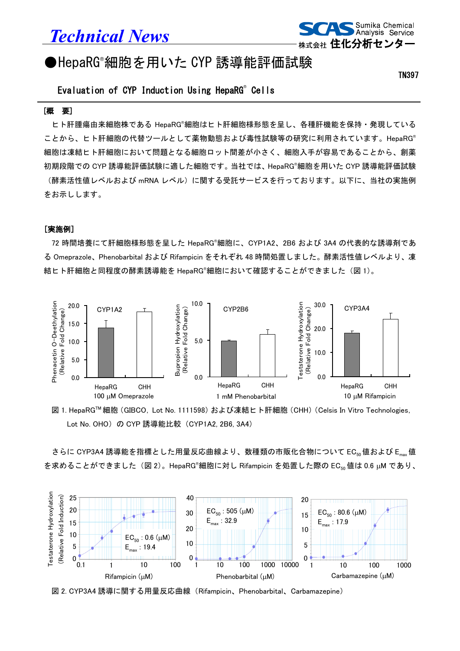# *Technical News*



## ●HepaRG®細胞を用いた CYP 誘導能評価試験

TN397

### Evaluation of CYP Induction Using HepaRG® Cells

#### [概 要]

ヒト肝腫瘍由来細胞株である HepaRG® 細胞はヒト肝細胞様形態を呈し、各種肝機能を保持・発現している ことから、ヒト肝細胞の代替ツールとして薬物動態および毒性試験等の研究に利用されています。HepaRG® 細胞は凍結ヒト肝細胞において問題となる細胞ロット間差が小さく、細胞入手が容易であることから、創薬 初期段階での CYP 誘導能評価試験に適した細胞です。当社では、HepaRG®細胞を用いた CYP 誘導能評価試験 (酵素活性値レベルおよび mRNA レベル)に関する受託サービスを行っております。以下に、当社の実施例 をお示しします。

#### [実施例]

72 時間培養にて肝細胞様形態を呈した HepaRG® 細胞に、CYP1A2、2B6 および 3A4 の代表的な誘導剤であ る Omeprazole、Phenobarbital および Rifampicin をそれぞれ 48 時間処置しました。酵素活性値レベルより、凍 結ヒト肝細胞と同程度の酵素誘導能を HepaRG®細胞において確認することができました (図 1)。



図 1. HepaRG™細胞 (GIBCO, Lot No. 1111598) および凍結ヒト肝細胞 (CHH) (Celsis In Vitro Technologies, Lot No. OHO) の CYP 誘導能比較 (CYP1A2, 2B6, 3A4)

さらに CYP3A4 誘導能を指標とした用量反応曲線より、数種類の市販化合物について EC<sub>50</sub>値および Emax 値 を求めることができました(図 2)。HepaRG®細胞に対し Rifampicin を処置した際の EC<sub>50</sub> 値は 0.6 μM であり、



図 2. CYP3A4 誘導に関する用量反応曲線(Rifampicin、Phenobarbital、Carbamazepine)